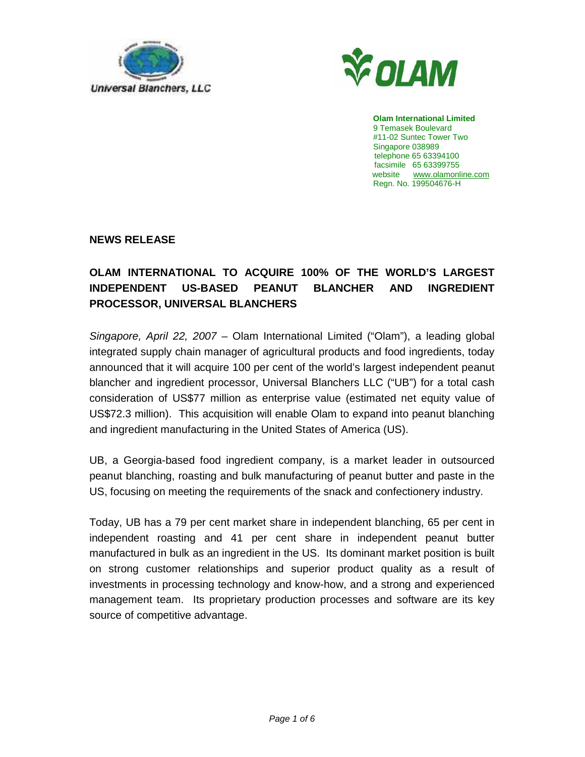



 **Olam International Limited** 9 Temasek Boulevard #11-02 Suntec Tower Two Singapore 038989 telephone 65 63394100 facsimile 65 63399755 website www.olamonline.com Regn. No. 199504676-H

**NEWS RELEASE** 

# **OLAM INTERNATIONAL TO ACQUIRE 100% OF THE WORLD'S LARGEST INDEPENDENT US-BASED PEANUT BLANCHER AND INGREDIENT PROCESSOR, UNIVERSAL BLANCHERS**

Singapore, April 22, 2007 – Olam International Limited ("Olam"), a leading global integrated supply chain manager of agricultural products and food ingredients, today announced that it will acquire 100 per cent of the world's largest independent peanut blancher and ingredient processor, Universal Blanchers LLC ("UB") for a total cash consideration of US\$77 million as enterprise value (estimated net equity value of US\$72.3 million). This acquisition will enable Olam to expand into peanut blanching and ingredient manufacturing in the United States of America (US).

UB, a Georgia-based food ingredient company, is a market leader in outsourced peanut blanching, roasting and bulk manufacturing of peanut butter and paste in the US, focusing on meeting the requirements of the snack and confectionery industry.

Today, UB has a 79 per cent market share in independent blanching, 65 per cent in independent roasting and 41 per cent share in independent peanut butter manufactured in bulk as an ingredient in the US. Its dominant market position is built on strong customer relationships and superior product quality as a result of investments in processing technology and know-how, and a strong and experienced management team. Its proprietary production processes and software are its key source of competitive advantage.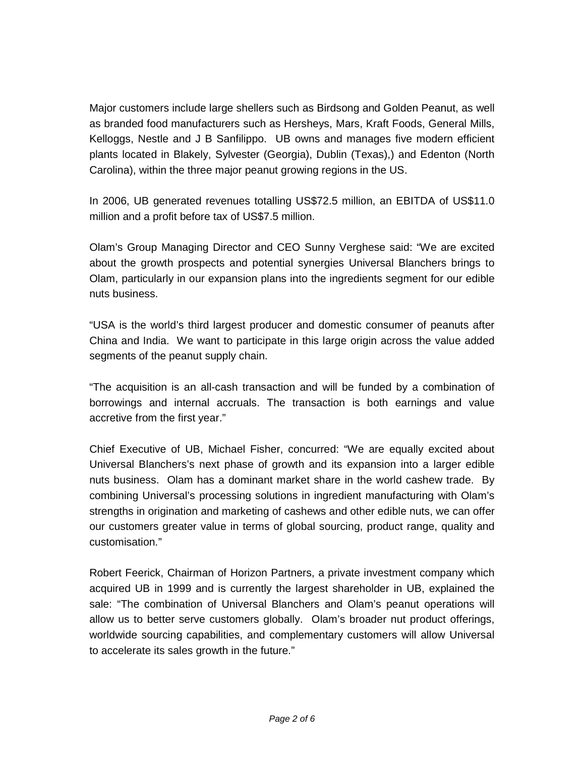Major customers include large shellers such as Birdsong and Golden Peanut, as well as branded food manufacturers such as Hersheys, Mars, Kraft Foods, General Mills, Kelloggs, Nestle and J B Sanfilippo. UB owns and manages five modern efficient plants located in Blakely, Sylvester (Georgia), Dublin (Texas),) and Edenton (North Carolina), within the three major peanut growing regions in the US.

In 2006, UB generated revenues totalling US\$72.5 million, an EBITDA of US\$11.0 million and a profit before tax of US\$7.5 million.

Olam's Group Managing Director and CEO Sunny Verghese said: "We are excited about the growth prospects and potential synergies Universal Blanchers brings to Olam, particularly in our expansion plans into the ingredients segment for our edible nuts business.

"USA is the world's third largest producer and domestic consumer of peanuts after China and India. We want to participate in this large origin across the value added segments of the peanut supply chain.

"The acquisition is an all-cash transaction and will be funded by a combination of borrowings and internal accruals. The transaction is both earnings and value accretive from the first year."

Chief Executive of UB, Michael Fisher, concurred: "We are equally excited about Universal Blanchers's next phase of growth and its expansion into a larger edible nuts business. Olam has a dominant market share in the world cashew trade. By combining Universal's processing solutions in ingredient manufacturing with Olam's strengths in origination and marketing of cashews and other edible nuts, we can offer our customers greater value in terms of global sourcing, product range, quality and customisation."

Robert Feerick, Chairman of Horizon Partners, a private investment company which acquired UB in 1999 and is currently the largest shareholder in UB, explained the sale: "The combination of Universal Blanchers and Olam's peanut operations will allow us to better serve customers globally. Olam's broader nut product offerings, worldwide sourcing capabilities, and complementary customers will allow Universal to accelerate its sales growth in the future."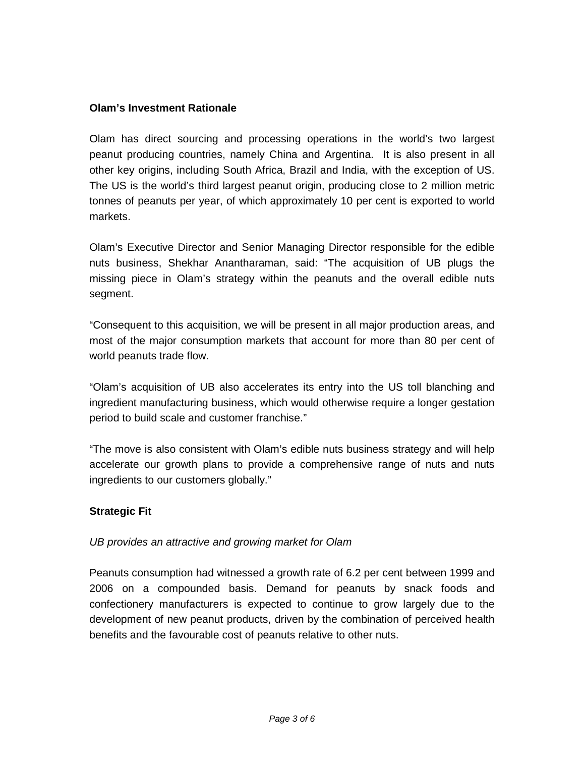## **Olam's Investment Rationale**

Olam has direct sourcing and processing operations in the world's two largest peanut producing countries, namely China and Argentina. It is also present in all other key origins, including South Africa, Brazil and India, with the exception of US. The US is the world's third largest peanut origin, producing close to 2 million metric tonnes of peanuts per year, of which approximately 10 per cent is exported to world markets.

Olam's Executive Director and Senior Managing Director responsible for the edible nuts business, Shekhar Anantharaman, said: "The acquisition of UB plugs the missing piece in Olam's strategy within the peanuts and the overall edible nuts segment.

"Consequent to this acquisition, we will be present in all major production areas, and most of the major consumption markets that account for more than 80 per cent of world peanuts trade flow.

"Olam's acquisition of UB also accelerates its entry into the US toll blanching and ingredient manufacturing business, which would otherwise require a longer gestation period to build scale and customer franchise."

"The move is also consistent with Olam's edible nuts business strategy and will help accelerate our growth plans to provide a comprehensive range of nuts and nuts ingredients to our customers globally."

# **Strategic Fit**

#### UB provides an attractive and growing market for Olam

Peanuts consumption had witnessed a growth rate of 6.2 per cent between 1999 and 2006 on a compounded basis. Demand for peanuts by snack foods and confectionery manufacturers is expected to continue to grow largely due to the development of new peanut products, driven by the combination of perceived health benefits and the favourable cost of peanuts relative to other nuts.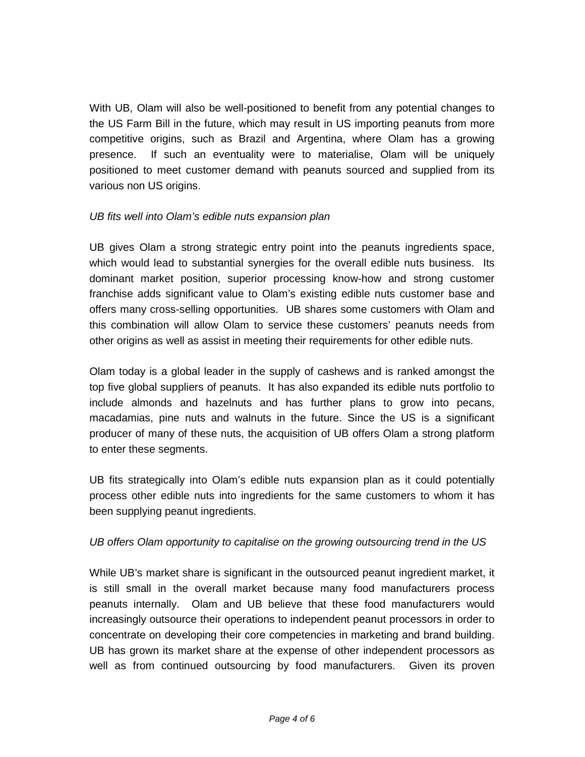With UB, Olam will also be well-positioned to benefit from any potential changes to the US Farm Bill in the future, which may result in US importing peanuts from more competitive origins, such as Brazil and Argentina, where Olam has a growing presence. If such an eventuality were to materialise, Olam will be uniquely positioned to meet customer demand with peanuts sourced and supplied from its various non US origins.

### UB fits well into Olam's edible nuts expansion plan

UB gives Olam a strong strategic entry point into the peanuts ingredients space, which would lead to substantial synergies for the overall edible nuts business. Its dominant market position, superior processing know-how and strong customer franchise adds significant value to Olam's existing edible nuts customer base and offers many cross-selling opportunities. UB shares some customers with Olam and this combination will allow Olam to service these customers' peanuts needs from other origins as well as assist in meeting their requirements for other edible nuts.

Olam today is a global leader in the supply of cashews and is ranked amongst the top five global suppliers of peanuts. It has also expanded its edible nuts portfolio to include almonds and hazelnuts and has further plans to grow into pecans, macadamias, pine nuts and walnuts in the future. Since the US is a significant producer of many of these nuts, the acquisition of UB offers Olam a strong platform to enter these segments.

UB fits strategically into Olam's edible nuts expansion plan as it could potentially process other edible nuts into ingredients for the same customers to whom it has been supplying peanut ingredients.

# UB offers Olam opportunity to capitalise on the growing outsourcing trend in the US

While UB's market share is significant in the outsourced peanut ingredient market, it is still small in the overall market because many food manufacturers process peanuts internally. Olam and UB believe that these food manufacturers would increasingly outsource their operations to independent peanut processors in order to concentrate on developing their core competencies in marketing and brand building. UB has grown its market share at the expense of other independent processors as well as from continued outsourcing by food manufacturers. Given its proven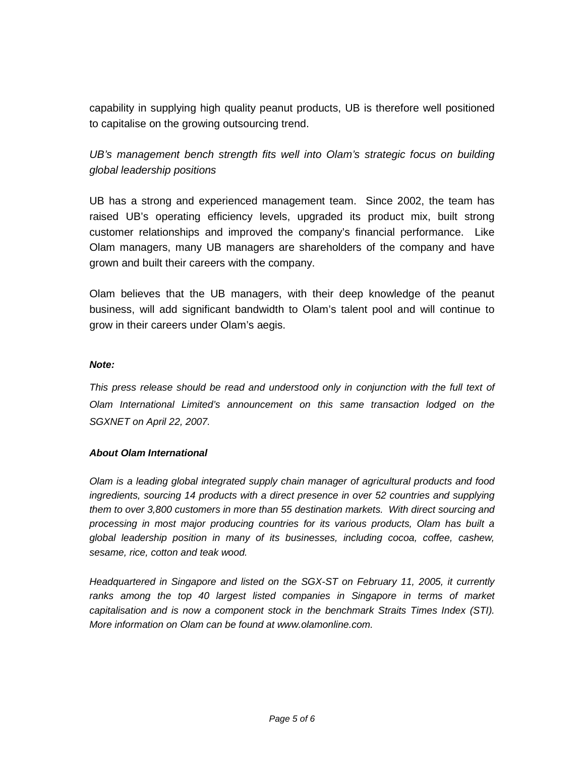capability in supplying high quality peanut products, UB is therefore well positioned to capitalise on the growing outsourcing trend.

UB's management bench strength fits well into Olam's strategic focus on building global leadership positions

UB has a strong and experienced management team. Since 2002, the team has raised UB's operating efficiency levels, upgraded its product mix, built strong customer relationships and improved the company's financial performance. Like Olam managers, many UB managers are shareholders of the company and have grown and built their careers with the company.

Olam believes that the UB managers, with their deep knowledge of the peanut business, will add significant bandwidth to Olam's talent pool and will continue to grow in their careers under Olam's aegis.

#### **Note:**

This press release should be read and understood only in conjunction with the full text of Olam International Limited's announcement on this same transaction lodged on the SGXNET on April 22, 2007.

#### **About Olam International**

Olam is a leading global integrated supply chain manager of agricultural products and food ingredients, sourcing 14 products with a direct presence in over 52 countries and supplying them to over 3,800 customers in more than 55 destination markets. With direct sourcing and processing in most major producing countries for its various products, Olam has built a global leadership position in many of its businesses, including cocoa, coffee, cashew, sesame, rice, cotton and teak wood.

Headquartered in Singapore and listed on the SGX-ST on February 11, 2005, it currently ranks among the top 40 largest listed companies in Singapore in terms of market capitalisation and is now a component stock in the benchmark Straits Times Index (STI). More information on Olam can be found at www.olamonline.com.